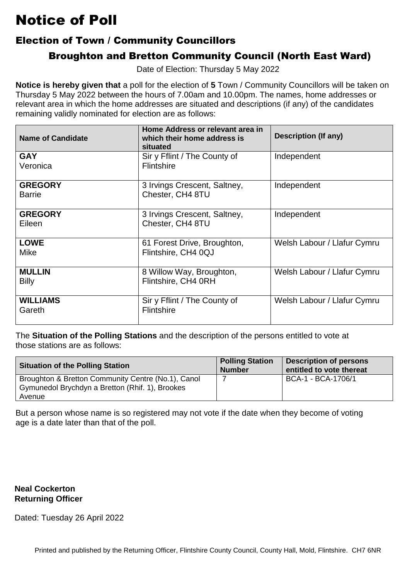### Election of Town / Community Councillors

### Broughton and Bretton Community Council (North East Ward)

Date of Election: Thursday 5 May 2022

 **Notice is hereby given that** a poll for the election of **5** Town / Community Councillors will be taken on Thursday 5 May 2022 between the hours of 7.00am and 10.00pm. The names, home addresses or relevant area in which the home addresses are situated and descriptions (if any) of the candidates remaining validly nominated for election are as follows:

| <b>Name of Candidate</b>        | Home Address or relevant area in<br>which their home address is<br>situated | <b>Description (If any)</b> |
|---------------------------------|-----------------------------------------------------------------------------|-----------------------------|
| <b>GAY</b><br>Veronica          | Sir y Fflint / The County of<br><b>Flintshire</b>                           | Independent                 |
| <b>GREGORY</b><br><b>Barrie</b> | 3 Irvings Crescent, Saltney,<br>Chester, CH4 8TU                            | Independent                 |
| <b>GREGORY</b><br>Eileen        | 3 Irvings Crescent, Saltney,<br>Chester, CH4 8TU                            | Independent                 |
| <b>LOWE</b><br>Mike             | 61 Forest Drive, Broughton,<br>Flintshire, CH4 0QJ                          | Welsh Labour / Llafur Cymru |
| <b>MULLIN</b><br><b>Billy</b>   | 8 Willow Way, Broughton,<br>Flintshire, CH4 0RH                             | Welsh Labour / Llafur Cymru |
| <b>WILLIAMS</b><br>Gareth       | Sir y Fflint / The County of<br>Flintshire                                  | Welsh Labour / Llafur Cymru |

 The **Situation of the Polling Stations** and the description of the persons entitled to vote at those stations are as follows:

| <b>Situation of the Polling Station</b>                                                               | <b>Polling Station</b><br><b>Number</b> | Description of persons<br>entitled to vote thereat |
|-------------------------------------------------------------------------------------------------------|-----------------------------------------|----------------------------------------------------|
| Broughton & Bretton Community Centre (No.1), Canol<br>Gymunedol Brychdyn a Bretton (Rhif. 1), Brookes |                                         | BCA-1 - BCA-1706/1                                 |
| Avenue                                                                                                |                                         |                                                    |

But a person whose name is so registered may not vote if the date when they become of voting<br>age is a date later than that of the poll. age is a date later than that of the poll.

**Neal Cockerton Returning Officer**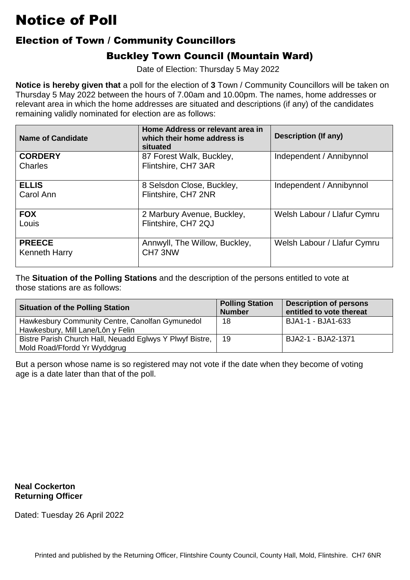### Election of Town / Community Councillors

#### Buckley Town Council (Mountain Ward)

Date of Election: Thursday 5 May 2022

 **Notice is hereby given that** a poll for the election of **3** Town / Community Councillors will be taken on Thursday 5 May 2022 between the hours of 7.00am and 10.00pm. The names, home addresses or relevant area in which the home addresses are situated and descriptions (if any) of the candidates remaining validly nominated for election are as follows:

| <b>Name of Candidate</b>              | Home Address or relevant area in<br>which their home address is<br>situated | Description (If any)        |
|---------------------------------------|-----------------------------------------------------------------------------|-----------------------------|
| <b>CORDERY</b><br>Charles             | 87 Forest Walk, Buckley,<br>Flintshire, CH7 3AR                             | Independent / Annibynnol    |
| <b>ELLIS</b><br>Carol Ann             | 8 Selsdon Close, Buckley,<br>Flintshire, CH7 2NR                            | Independent / Annibynnol    |
| <b>FOX</b><br>Louis                   | 2 Marbury Avenue, Buckley,<br>Flintshire, CH7 2QJ                           | Welsh Labour / Llafur Cymru |
| <b>PREECE</b><br><b>Kenneth Harry</b> | Annwyll, The Willow, Buckley,<br>CH <sub>7</sub> 3N <sub>W</sub>            | Welsh Labour / Llafur Cymru |

 The **Situation of the Polling Stations** and the description of the persons entitled to vote at those stations are as follows:

| <b>Situation of the Polling Station</b>                                                  | <b>Polling Station</b><br><b>Number</b> | <b>Description of persons</b><br>entitled to vote thereat |
|------------------------------------------------------------------------------------------|-----------------------------------------|-----------------------------------------------------------|
| Hawkesbury Community Centre, Canolfan Gymunedol<br>Hawkesbury, Mill Lane/Lôn y Felin     | 18                                      | BJA1-1 - BJA1-633                                         |
| Bistre Parish Church Hall, Neuadd Eglwys Y Plwyf Bistre,<br>Mold Road/Ffordd Yr Wyddgrug | 19                                      | BJA2-1 - BJA2-1371                                        |

But a person whose name is so registered may not vote if the date when they become of voting<br>age is a date later than that of the poll. age is a date later than that of the poll.

**Neal Cockerton Returning Officer**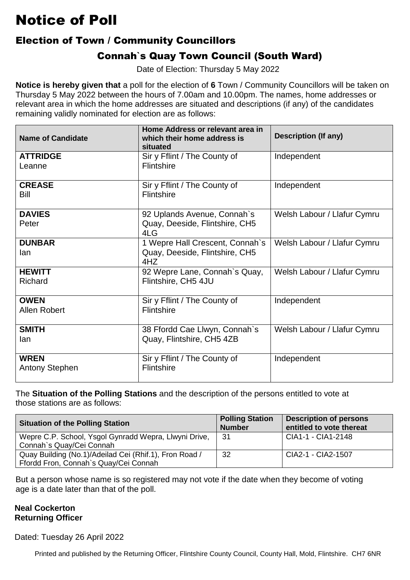### Election of Town / Community Councillors

### Connah`s Quay Town Council (South Ward)

Date of Election: Thursday 5 May 2022

 **Notice is hereby given that** a poll for the election of **6** Town / Community Councillors will be taken on Thursday 5 May 2022 between the hours of 7.00am and 10.00pm. The names, home addresses or relevant area in which the home addresses are situated and descriptions (if any) of the candidates remaining validly nominated for election are as follows:

| <b>Name of Candidate</b>             | Home Address or relevant area in<br>which their home address is<br>situated | <b>Description (If any)</b> |
|--------------------------------------|-----------------------------------------------------------------------------|-----------------------------|
| <b>ATTRIDGE</b><br>Leanne            | Sir y Fflint / The County of<br><b>Flintshire</b>                           | Independent                 |
| <b>CREASE</b><br>Bill                | Sir y Fflint / The County of<br><b>Flintshire</b>                           | Independent                 |
| <b>DAVIES</b><br>Peter               | 92 Uplands Avenue, Connah's<br>Quay, Deeside, Flintshire, CH5<br>4LG        | Welsh Labour / Llafur Cymru |
| <b>DUNBAR</b><br>lan                 | 1 Wepre Hall Crescent, Connah's<br>Quay, Deeside, Flintshire, CH5<br>4HZ    | Welsh Labour / Llafur Cymru |
| <b>HEWITT</b><br>Richard             | 92 Wepre Lane, Connah's Quay,<br>Flintshire, CH5 4JU                        | Welsh Labour / Llafur Cymru |
| <b>OWEN</b><br>Allen Robert          | Sir y Fflint / The County of<br><b>Flintshire</b>                           | Independent                 |
| <b>SMITH</b><br>lan                  | 38 Ffordd Cae Llwyn, Connah's<br>Quay, Flintshire, CH5 4ZB                  | Welsh Labour / Llafur Cymru |
| <b>WREN</b><br><b>Antony Stephen</b> | Sir y Fflint / The County of<br>Flintshire                                  | Independent                 |

 The **Situation of the Polling Stations** and the description of the persons entitled to vote at those stations are as follows:

| <b>Situation of the Polling Station</b>                                                         | <b>Polling Station</b><br><b>Number</b> | <b>Description of persons</b><br>entitled to vote thereat |
|-------------------------------------------------------------------------------------------------|-----------------------------------------|-----------------------------------------------------------|
| Wepre C.P. School, Ysgol Gynradd Wepra, Llwyni Drive,<br>Connah's Quay/Cei Connah               | -31                                     | CIA1-1 - CIA1-2148                                        |
| Quay Building (No.1)/Adeilad Cei (Rhif.1), Fron Road /<br>Ffordd Fron, Connah's Quay/Cei Connah | 32                                      | CIA2-1 - CIA2-1507                                        |

But a person whose name is so registered may not vote if the date when they become of voting<br>age is a date later than that of the poll. age is a date later than that of the poll.

#### **Neal Cockerton Returning Officer**

Dated: Tuesday 26 April 2022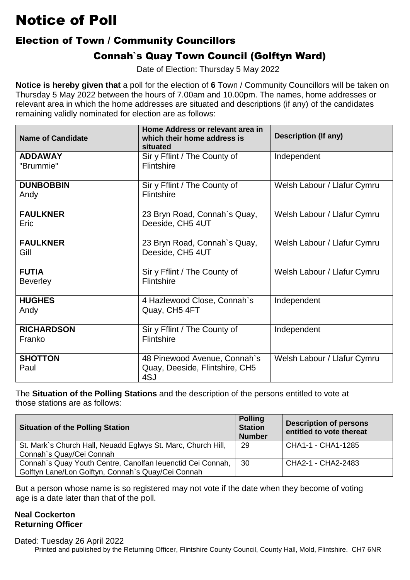### Election of Town / Community Councillors

### Connah`s Quay Town Council (Golftyn Ward)

Date of Election: Thursday 5 May 2022

 **Notice is hereby given that** a poll for the election of **6** Town / Community Councillors will be taken on Thursday 5 May 2022 between the hours of 7.00am and 10.00pm. The names, home addresses or relevant area in which the home addresses are situated and descriptions (if any) of the candidates remaining validly nominated for election are as follows:

| <b>Name of Candidate</b>        | Home Address or relevant area in<br>which their home address is<br>situated | <b>Description (If any)</b> |
|---------------------------------|-----------------------------------------------------------------------------|-----------------------------|
| <b>ADDAWAY</b><br>"Brummie"     | Sir y Fflint / The County of<br><b>Flintshire</b>                           | Independent                 |
| <b>DUNBOBBIN</b><br>Andy        | Sir y Fflint / The County of<br>Flintshire                                  | Welsh Labour / Llafur Cymru |
| <b>FAULKNER</b><br>Eric         | 23 Bryn Road, Connah's Quay,<br>Deeside, CH5 4UT                            | Welsh Labour / Llafur Cymru |
| <b>FAULKNER</b><br>Gill         | 23 Bryn Road, Connah's Quay,<br>Deeside, CH5 4UT                            | Welsh Labour / Llafur Cymru |
| <b>FUTIA</b><br><b>Beverley</b> | Sir y Fflint / The County of<br>Flintshire                                  | Welsh Labour / Llafur Cymru |
| <b>HUGHES</b><br>Andy           | 4 Hazlewood Close, Connah's<br>Quay, CH5 4FT                                | Independent                 |
| <b>RICHARDSON</b><br>Franko     | Sir y Fflint / The County of<br><b>Flintshire</b>                           | Independent                 |
| <b>SHOTTON</b><br>Paul          | 48 Pinewood Avenue, Connah's<br>Quay, Deeside, Flintshire, CH5<br>4SJ       | Welsh Labour / Llafur Cymru |

 The **Situation of the Polling Stations** and the description of the persons entitled to vote at those stations are as follows:

| <b>Situation of the Polling Station</b>                      | <b>Polling</b><br><b>Station</b><br><b>Number</b> | <b>Description of persons</b><br>entitled to vote thereat |
|--------------------------------------------------------------|---------------------------------------------------|-----------------------------------------------------------|
| St. Mark`s Church Hall, Neuadd Eglwys St. Marc, Church Hill, | 29                                                | CHA1-1 - CHA1-1285                                        |
| Connah's Quay/Cei Connah                                     |                                                   |                                                           |
| Connah's Quay Youth Centre, Canolfan Ieuenctid Cei Connah,   | 30                                                | CHA2-1 - CHA2-2483                                        |
| Golftyn Lane/Lon Golftyn, Connah's Quay/Cei Connah           |                                                   |                                                           |

But a person whose name is so registered may not vote if the date when they become of voting<br>age is a date later than that of the poll. age is a date later than that of the poll.

#### **Neal Cockerton Returning Officer**

Dated: Tuesday 26 April 2022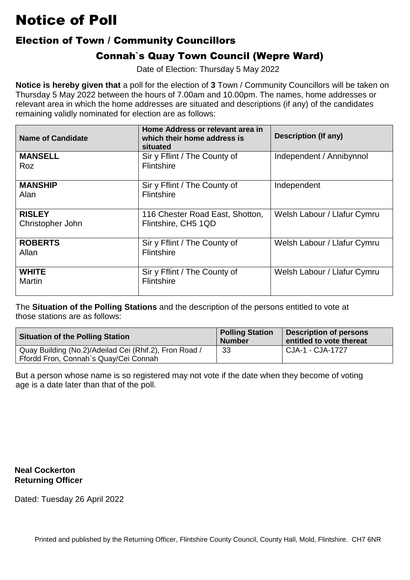### Election of Town / Community Councillors

### Connah`s Quay Town Council (Wepre Ward)

Date of Election: Thursday 5 May 2022

 **Notice is hereby given that** a poll for the election of **3** Town / Community Councillors will be taken on Thursday 5 May 2022 between the hours of 7.00am and 10.00pm. The names, home addresses or relevant area in which the home addresses are situated and descriptions (if any) of the candidates remaining validly nominated for election are as follows:

| <b>Name of Candidate</b>          | Home Address or relevant area in<br>which their home address is<br>situated | <b>Description (If any)</b> |
|-----------------------------------|-----------------------------------------------------------------------------|-----------------------------|
| <b>MANSELL</b><br>Roz             | Sir y Fflint / The County of<br><b>Flintshire</b>                           | Independent / Annibynnol    |
| <b>MANSHIP</b><br>Alan            | Sir y Fflint / The County of<br>Flintshire                                  | Independent                 |
| <b>RISLEY</b><br>Christopher John | 116 Chester Road East, Shotton,<br>Flintshire, CH5 1QD                      | Welsh Labour / Llafur Cymru |
| <b>ROBERTS</b><br>Allan           | Sir y Fflint / The County of<br>Flintshire                                  | Welsh Labour / Llafur Cymru |
| <b>WHITE</b><br><b>Martin</b>     | Sir y Fflint / The County of<br>Flintshire                                  | Welsh Labour / Llafur Cymru |

 The **Situation of the Polling Stations** and the description of the persons entitled to vote at those stations are as follows:

| <b>Situation of the Polling Station</b>                | <b>Polling Station</b><br><b>Number</b> | <b>Description of persons</b><br>entitled to vote thereat |
|--------------------------------------------------------|-----------------------------------------|-----------------------------------------------------------|
| Quay Building (No.2)/Adeilad Cei (Rhif.2), Fron Road / | 33                                      | CJA-1 - CJA-1727                                          |
| Ffordd Fron, Connah's Quay/Cei Connah                  |                                         |                                                           |

But a person whose name is so registered may not vote if the date when they become of voting<br>age is a date later than that of the poll. age is a date later than that of the poll.

**Neal Cockerton Returning Officer**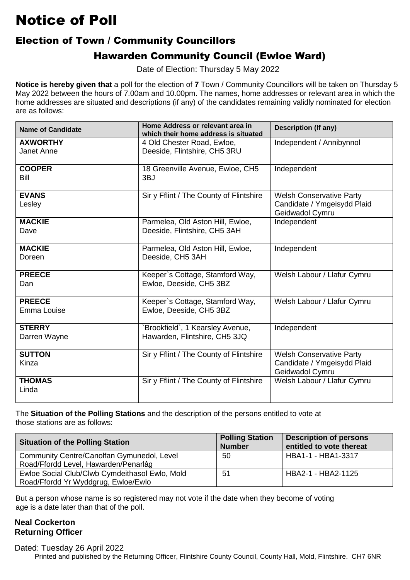### Election of Town / Community Councillors

### Hawarden Community Council (Ewloe Ward)

Date of Election: Thursday 5 May 2022

 **Notice is hereby given that** a poll for the election of **7** Town / Community Councillors will be taken on Thursday 5 May 2022 between the hours of 7.00am and 10.00pm. The names, home addresses or relevant area in which the home addresses are situated and descriptions (if any) of the candidates remaining validly nominated for election are as follows:

| <b>Name of Candidate</b>      | Home Address or relevant area in<br>which their home address is situated | <b>Description (If any)</b>                                                       |
|-------------------------------|--------------------------------------------------------------------------|-----------------------------------------------------------------------------------|
| <b>AXWORTHY</b><br>Janet Anne | 4 Old Chester Road, Ewloe,<br>Deeside, Flintshire, CH5 3RU               | Independent / Annibynnol                                                          |
| <b>COOPER</b><br>Bill         | 18 Greenville Avenue, Ewloe, CH5<br>3BJ                                  | Independent                                                                       |
| <b>EVANS</b><br>Lesley        | Sir y Fflint / The County of Flintshire                                  | <b>Welsh Conservative Party</b><br>Candidate / Ymgeisydd Plaid<br>Geidwadol Cymru |
| <b>MACKIE</b><br>Dave         | Parmelea, Old Aston Hill, Ewloe,<br>Deeside, Flintshire, CH5 3AH         | Independent                                                                       |
| <b>MACKIE</b><br>Doreen       | Parmelea, Old Aston Hill, Ewloe,<br>Deeside, CH5 3AH                     | Independent                                                                       |
| <b>PREECE</b><br>Dan          | Keeper's Cottage, Stamford Way,<br>Ewloe, Deeside, CH5 3BZ               | Welsh Labour / Llafur Cymru                                                       |
| <b>PREECE</b><br>Emma Louise  | Keeper's Cottage, Stamford Way,<br>Ewloe, Deeside, CH5 3BZ               | Welsh Labour / Llafur Cymru                                                       |
| <b>STERRY</b><br>Darren Wayne | Brookfield', 1 Kearsley Avenue,<br>Hawarden, Flintshire, CH5 3JQ         | Independent                                                                       |
| <b>SUTTON</b><br>Kinza        | Sir y Fflint / The County of Flintshire                                  | <b>Welsh Conservative Party</b><br>Candidate / Ymgeisydd Plaid<br>Geidwadol Cymru |
| <b>THOMAS</b><br>Linda        | Sir y Fflint / The County of Flintshire                                  | Welsh Labour / Llafur Cymru                                                       |

 The **Situation of the Polling Stations** and the description of the persons entitled to vote at those stations are as follows:

| <b>Situation of the Polling Station</b>        | <b>Polling Station</b><br><b>Number</b> | <b>Description of persons</b><br>entitled to vote thereat |
|------------------------------------------------|-----------------------------------------|-----------------------------------------------------------|
| Community Centre/Canolfan Gymunedol, Level     | 50                                      | HBA1-1 - HBA1-3317                                        |
| Road/Ffordd Level, Hawarden/Penarlâg           |                                         |                                                           |
| Ewloe Social Club/Clwb Cymdeithasol Ewlo, Mold | 51                                      | HBA2-1 - HBA2-1125                                        |
| Road/Ffordd Yr Wyddgrug, Ewloe/Ewlo            |                                         |                                                           |

 But a person whose name is so registered may not vote if the date when they become of voting age is a date later than that of the poll.

#### **Neal Cockerton Returning Officer**

Dated: Tuesday 26 April 2022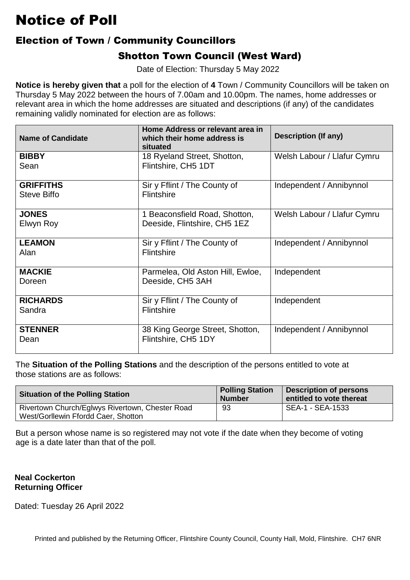### Election of Town / Community Councillors

#### Shotton Town Council (West Ward)

Date of Election: Thursday 5 May 2022

 **Notice is hereby given that** a poll for the election of **4** Town / Community Councillors will be taken on Thursday 5 May 2022 between the hours of 7.00am and 10.00pm. The names, home addresses or relevant area in which the home addresses are situated and descriptions (if any) of the candidates remaining validly nominated for election are as follows:

| <b>Name of Candidate</b>               | Home Address or relevant area in<br>which their home address is<br>situated | Description (If any)        |
|----------------------------------------|-----------------------------------------------------------------------------|-----------------------------|
| <b>BIBBY</b><br>Sean                   | 18 Ryeland Street, Shotton,<br>Flintshire, CH5 1DT                          | Welsh Labour / Llafur Cymru |
| <b>GRIFFITHS</b><br><b>Steve Biffo</b> | Sir y Fflint / The County of<br><b>Flintshire</b>                           | Independent / Annibynnol    |
| <b>JONES</b><br>Elwyn Roy              | 1 Beaconsfield Road, Shotton,<br>Deeside, Flintshire, CH5 1EZ               | Welsh Labour / Llafur Cymru |
| <b>LEAMON</b><br>Alan                  | Sir y Fflint / The County of<br><b>Flintshire</b>                           | Independent / Annibynnol    |
| <b>MACKIE</b><br>Doreen                | Parmelea, Old Aston Hill, Ewloe,<br>Deeside, CH5 3AH                        | Independent                 |
| <b>RICHARDS</b><br>Sandra              | Sir y Fflint / The County of<br><b>Flintshire</b>                           | Independent                 |
| <b>STENNER</b><br>Dean                 | 38 King George Street, Shotton,<br>Flintshire, CH5 1DY                      | Independent / Annibynnol    |

 The **Situation of the Polling Stations** and the description of the persons entitled to vote at those stations are as follows:

| <b>Situation of the Polling Station</b>         | <b>Polling Station</b><br><b>Number</b> | <b>Description of persons</b><br>entitled to vote thereat |
|-------------------------------------------------|-----------------------------------------|-----------------------------------------------------------|
| Rivertown Church/Eglwys Rivertown, Chester Road | 93                                      | SEA-1 - SEA-1533                                          |
| West/Gorllewin Ffordd Caer, Shotton             |                                         |                                                           |

But a person whose name is so registered may not vote if the date when they become of voting<br>age is a date later than that of the poll. age is a date later than that of the poll.

#### **Neal Cockerton Returning Officer**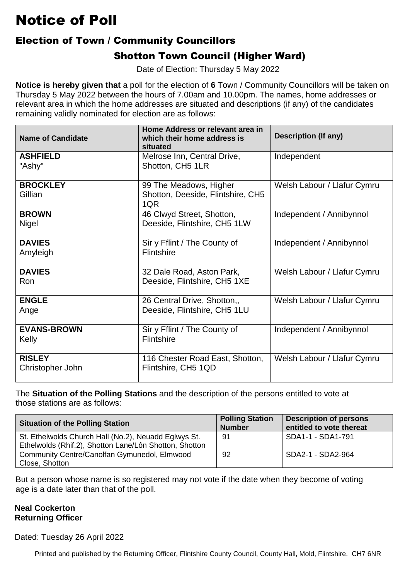### Election of Town / Community Councillors

### Shotton Town Council (Higher Ward)

Date of Election: Thursday 5 May 2022

 **Notice is hereby given that** a poll for the election of **6** Town / Community Councillors will be taken on Thursday 5 May 2022 between the hours of 7.00am and 10.00pm. The names, home addresses or relevant area in which the home addresses are situated and descriptions (if any) of the candidates remaining validly nominated for election are as follows:

| <b>Name of Candidate</b>          | Home Address or relevant area in<br>which their home address is<br>situated | <b>Description (If any)</b> |
|-----------------------------------|-----------------------------------------------------------------------------|-----------------------------|
| <b>ASHFIELD</b><br>"Ashy"         | Melrose Inn, Central Drive,<br>Shotton, CH5 1LR                             | Independent                 |
| <b>BROCKLEY</b><br>Gillian        | 99 The Meadows, Higher<br>Shotton, Deeside, Flintshire, CH5<br>1QR          | Welsh Labour / Llafur Cymru |
| <b>BROWN</b><br><b>Nigel</b>      | 46 Clwyd Street, Shotton,<br>Deeside, Flintshire, CH5 1LW                   | Independent / Annibynnol    |
| <b>DAVIES</b><br>Amyleigh         | Sir y Fflint / The County of<br>Flintshire                                  | Independent / Annibynnol    |
| <b>DAVIES</b><br><b>Ron</b>       | 32 Dale Road, Aston Park,<br>Deeside, Flintshire, CH5 1XE                   | Welsh Labour / Llafur Cymru |
| <b>ENGLE</b><br>Ange              | 26 Central Drive, Shotton,,<br>Deeside, Flintshire, CH5 1LU                 | Welsh Labour / Llafur Cymru |
| <b>EVANS-BROWN</b><br>Kelly       | Sir y Fflint / The County of<br>Flintshire                                  | Independent / Annibynnol    |
| <b>RISLEY</b><br>Christopher John | 116 Chester Road East, Shotton,<br>Flintshire, CH5 1QD                      | Welsh Labour / Llafur Cymru |

 The **Situation of the Polling Stations** and the description of the persons entitled to vote at those stations are as follows:

| <b>Situation of the Polling Station</b>                | <b>Polling Station</b><br><b>Number</b> | <b>Description of persons</b><br>entitled to vote thereat |
|--------------------------------------------------------|-----------------------------------------|-----------------------------------------------------------|
| St. Ethelwolds Church Hall (No.2), Neuadd Eglwys St.   | 91                                      | SDA1-1 - SDA1-791                                         |
| Ethelwolds (Rhif.2), Shotton Lane/Lôn Shotton, Shotton |                                         |                                                           |
| Community Centre/Canolfan Gymunedol, Elmwood           | 92                                      | SDA2-1 - SDA2-964                                         |
| Close, Shotton                                         |                                         |                                                           |

But a person whose name is so registered may not vote if the date when they become of voting<br>age is a date later than that of the poll. age is a date later than that of the poll.

#### **Neal Cockerton Returning Officer**

Dated: Tuesday 26 April 2022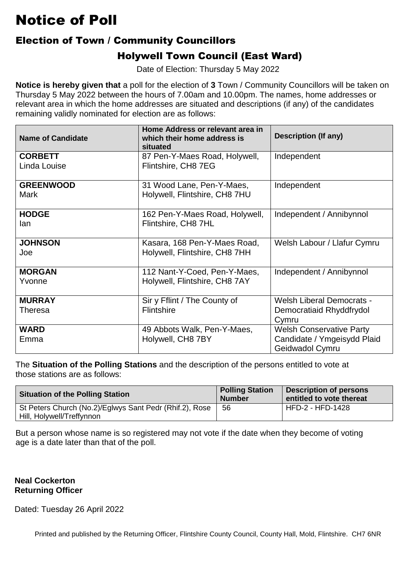### Election of Town / Community Councillors

#### Holywell Town Council (East Ward)

Date of Election: Thursday 5 May 2022

 **Notice is hereby given that** a poll for the election of **3** Town / Community Councillors will be taken on Thursday 5 May 2022 between the hours of 7.00am and 10.00pm. The names, home addresses or relevant area in which the home addresses are situated and descriptions (if any) of the candidates remaining validly nominated for election are as follows:

| <b>Name of Candidate</b>        | Home Address or relevant area in<br>which their home address is<br>situated | <b>Description (If any)</b>                                                       |
|---------------------------------|-----------------------------------------------------------------------------|-----------------------------------------------------------------------------------|
| <b>CORBETT</b><br>Linda Louise  | 87 Pen-Y-Maes Road, Holywell,<br>Flintshire, CH8 7EG                        | Independent                                                                       |
| <b>GREENWOOD</b><br><b>Mark</b> | 31 Wood Lane, Pen-Y-Maes,<br>Holywell, Flintshire, CH8 7HU                  | Independent                                                                       |
| <b>HODGE</b><br>lan             | 162 Pen-Y-Maes Road, Holywell,<br>Flintshire, CH8 7HL                       | Independent / Annibynnol                                                          |
| <b>JOHNSON</b><br>Joe           | Kasara, 168 Pen-Y-Maes Road,<br>Holywell, Flintshire, CH8 7HH               | Welsh Labour / Llafur Cymru                                                       |
| <b>MORGAN</b><br>Yvonne         | 112 Nant-Y-Coed, Pen-Y-Maes,<br>Holywell, Flintshire, CH8 7AY               | Independent / Annibynnol                                                          |
| <b>MURRAY</b><br>Theresa        | Sir y Fflint / The County of<br>Flintshire                                  | <b>Welsh Liberal Democrats -</b><br>Democratiaid Rhyddfrydol<br>Cymru             |
| <b>WARD</b><br>Emma             | 49 Abbots Walk, Pen-Y-Maes,<br>Holywell, CH8 7BY                            | <b>Welsh Conservative Party</b><br>Candidate / Ymgeisydd Plaid<br>Geidwadol Cymru |

 The **Situation of the Polling Stations** and the description of the persons entitled to vote at those stations are as follows:

| <b>Situation of the Polling Station</b>                 | <b>Polling Station</b><br><b>Number</b> | <b>Description of persons</b><br>entitled to vote thereat |
|---------------------------------------------------------|-----------------------------------------|-----------------------------------------------------------|
| St Peters Church (No.2)/Eglwys Sant Pedr (Rhif.2), Rose | 56                                      | HFD-2 - HFD-1428                                          |
| Hill, Holywell/Treffynnon                               |                                         |                                                           |

But a person whose name is so registered may not vote if the date when they become of voting<br>age is a date later than that of the poll. age is a date later than that of the poll.

#### **Neal Cockerton Returning Officer**

Dated: Tuesday 26 April 2022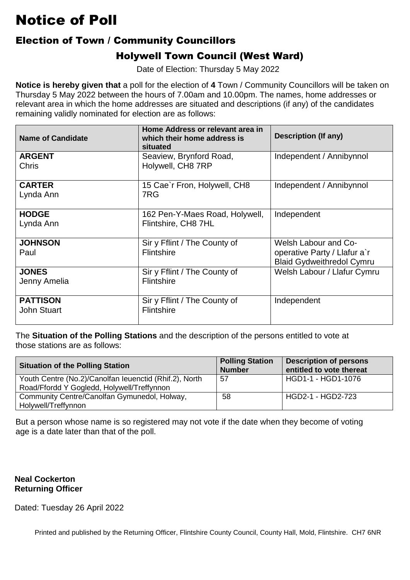## Election of Town / Community Councillors

### Holywell Town Council (West Ward)

Date of Election: Thursday 5 May 2022

 **Notice is hereby given that** a poll for the election of **4** Town / Community Councillors will be taken on Thursday 5 May 2022 between the hours of 7.00am and 10.00pm. The names, home addresses or relevant area in which the home addresses are situated and descriptions (if any) of the candidates remaining validly nominated for election are as follows:

| <b>Name of Candidate</b>              | Home Address or relevant area in<br>which their home address is<br>situated | <b>Description (If any)</b>                                                                     |
|---------------------------------------|-----------------------------------------------------------------------------|-------------------------------------------------------------------------------------------------|
| <b>ARGENT</b><br><b>Chris</b>         | Seaview, Brynford Road,<br>Holywell, CH8 7RP                                | Independent / Annibynnol                                                                        |
| <b>CARTER</b><br>Lynda Ann            | 15 Cae'r Fron, Holywell, CH8<br>7RG                                         | Independent / Annibynnol                                                                        |
| <b>HODGE</b><br>Lynda Ann             | 162 Pen-Y-Maes Road, Holywell,<br>Flintshire, CH8 7HL                       | Independent                                                                                     |
| <b>JOHNSON</b><br>Paul                | Sir y Fflint / The County of<br><b>Flintshire</b>                           | <b>Welsh Labour and Co-</b><br>operative Party / Llafur a'r<br><b>Blaid Gydweithredol Cymru</b> |
| <b>JONES</b><br>Jenny Amelia          | Sir y Fflint / The County of<br><b>Flintshire</b>                           | Welsh Labour / Llafur Cymru                                                                     |
| <b>PATTISON</b><br><b>John Stuart</b> | Sir y Fflint / The County of<br><b>Flintshire</b>                           | Independent                                                                                     |

 The **Situation of the Polling Stations** and the description of the persons entitled to vote at those stations are as follows:

| <b>Situation of the Polling Station</b>                                                              | <b>Polling Station</b><br><b>Number</b> | <b>Description of persons</b><br>entitled to vote thereat |
|------------------------------------------------------------------------------------------------------|-----------------------------------------|-----------------------------------------------------------|
| Youth Centre (No.2)/Canolfan leuenctid (Rhif.2), North<br>Road/Ffordd Y Gogledd, Holywell/Treffynnon | 57                                      | HGD1-1 - HGD1-1076                                        |
| Community Centre/Canolfan Gymunedol, Holway,<br>Holywell/Treffynnon                                  | 58                                      | HGD2-1 - HGD2-723                                         |

But a person whose name is so registered may not vote if the date when they become of voting<br>age is a date later than that of the poll. age is a date later than that of the poll.

#### **Neal Cockerton Returning Officer**

Dated: Tuesday 26 April 2022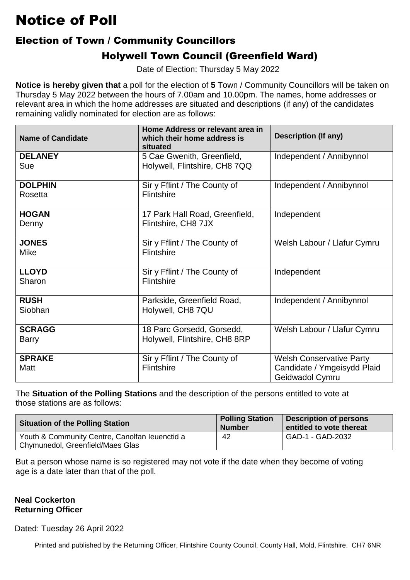### Election of Town / Community Councillors

### Holywell Town Council (Greenfield Ward)

Date of Election: Thursday 5 May 2022

 **Notice is hereby given that** a poll for the election of **5** Town / Community Councillors will be taken on Thursday 5 May 2022 between the hours of 7.00am and 10.00pm. The names, home addresses or relevant area in which the home addresses are situated and descriptions (if any) of the candidates remaining validly nominated for election are as follows:

| <b>Name of Candidate</b>      | Home Address or relevant area in<br>which their home address is<br>situated | <b>Description (If any)</b>                                                       |
|-------------------------------|-----------------------------------------------------------------------------|-----------------------------------------------------------------------------------|
| <b>DELANEY</b><br>Sue         | 5 Cae Gwenith, Greenfield,<br>Holywell, Flintshire, CH8 7QQ                 | Independent / Annibynnol                                                          |
| <b>DOLPHIN</b><br>Rosetta     | Sir y Fflint / The County of<br>Flintshire                                  | Independent / Annibynnol                                                          |
| <b>HOGAN</b><br>Denny         | 17 Park Hall Road, Greenfield,<br>Flintshire, CH8 7JX                       | Independent                                                                       |
| <b>JONES</b><br><b>Mike</b>   | Sir y Fflint / The County of<br>Flintshire                                  | Welsh Labour / Llafur Cymru                                                       |
| <b>LLOYD</b><br>Sharon        | Sir y Fflint / The County of<br>Flintshire                                  | Independent                                                                       |
| <b>RUSH</b><br>Siobhan        | Parkside, Greenfield Road,<br>Holywell, CH8 7QU                             | Independent / Annibynnol                                                          |
| <b>SCRAGG</b><br><b>Barry</b> | 18 Parc Gorsedd, Gorsedd,<br>Holywell, Flintshire, CH8 8RP                  | Welsh Labour / Llafur Cymru                                                       |
| <b>SPRAKE</b><br>Matt         | Sir y Fflint / The County of<br>Flintshire                                  | <b>Welsh Conservative Party</b><br>Candidate / Ymgeisydd Plaid<br>Geidwadol Cymru |

 The **Situation of the Polling Stations** and the description of the persons entitled to vote at those stations are as follows:

| <b>Situation of the Polling Station</b>                                            | <b>Polling Station</b><br><b>Number</b> | <b>Description of persons</b><br>entitled to vote thereat |
|------------------------------------------------------------------------------------|-----------------------------------------|-----------------------------------------------------------|
| Youth & Community Centre, Canolfan Ieuenctid a<br>Chymunedol, Greenfield/Maes Glas | 42                                      | GAD-1 - GAD-2032                                          |

But a person whose name is so registered may not vote if the date when they become of voting<br>age is a date later than that of the poll. age is a date later than that of the poll.

#### **Neal Cockerton Returning Officer**

Dated: Tuesday 26 April 2022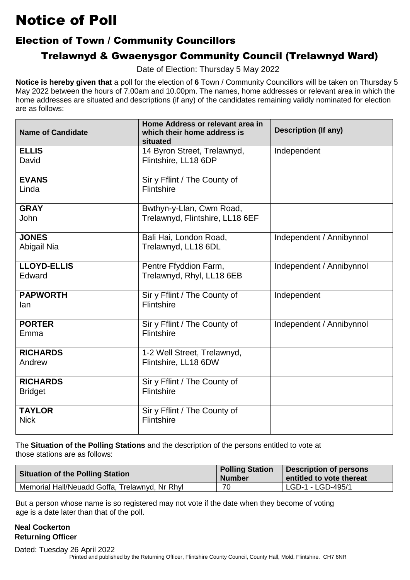### Election of Town / Community Councillors

### Trelawnyd & Gwaenysgor Community Council (Trelawnyd Ward)

Date of Election: Thursday 5 May 2022

 **Notice is hereby given that** a poll for the election of **6** Town / Community Councillors will be taken on Thursday 5 May 2022 between the hours of 7.00am and 10.00pm. The names, home addresses or relevant area in which the home addresses are situated and descriptions (if any) of the candidates remaining validly nominated for election are as follows:

| <b>Name of Candidate</b>          | Home Address or relevant area in<br>which their home address is<br>situated | <b>Description (If any)</b> |
|-----------------------------------|-----------------------------------------------------------------------------|-----------------------------|
| <b>ELLIS</b><br>David             | 14 Byron Street, Trelawnyd,<br>Flintshire, LL18 6DP                         | Independent                 |
| <b>EVANS</b><br>Linda             | Sir y Fflint / The County of<br>Flintshire                                  |                             |
| <b>GRAY</b><br>John               | Bwthyn-y-Llan, Cwm Road,<br>Trelawnyd, Flintshire, LL18 6EF                 |                             |
| <b>JONES</b><br>Abigail Nia       | Bali Hai, London Road,<br>Trelawnyd, LL18 6DL                               | Independent / Annibynnol    |
| <b>LLOYD-ELLIS</b><br>Edward      | Pentre Ffyddion Farm,<br>Trelawnyd, Rhyl, LL18 6EB                          | Independent / Annibynnol    |
| <b>PAPWORTH</b><br>lan            | Sir y Fflint / The County of<br>Flintshire                                  | Independent                 |
| <b>PORTER</b><br>Emma             | Sir y Fflint / The County of<br>Flintshire                                  | Independent / Annibynnol    |
| <b>RICHARDS</b><br>Andrew         | 1-2 Well Street, Trelawnyd,<br>Flintshire, LL18 6DW                         |                             |
| <b>RICHARDS</b><br><b>Bridget</b> | Sir y Fflint / The County of<br><b>Flintshire</b>                           |                             |
| <b>TAYLOR</b><br><b>Nick</b>      | Sir y Fflint / The County of<br>Flintshire                                  |                             |

 The **Situation of the Polling Stations** and the description of the persons entitled to vote at those stations are as follows:

| <b>Situation of the Polling Station</b>        | <b>Polling Station</b><br><b>Number</b> | <b>Description of persons</b><br>entitled to vote thereat |
|------------------------------------------------|-----------------------------------------|-----------------------------------------------------------|
| Memorial Hall/Neuadd Goffa, Trelawnyd, Nr Rhyl | 70                                      | LGD-1 - LGD-495/1                                         |

 But a person whose name is so registered may not vote if the date when they become of voting age is a date later than that of the poll.

#### **Neal Cockerton Returning Officer**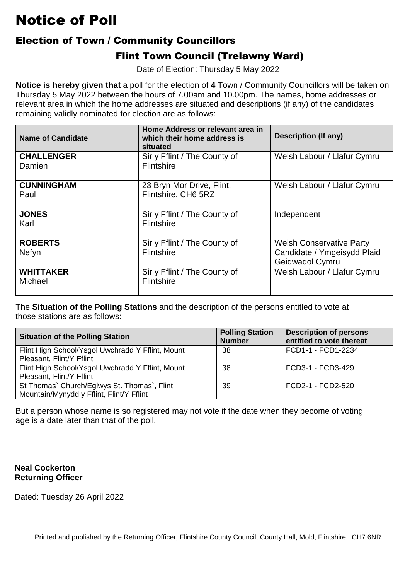## Election of Town / Community Councillors

## Flint Town Council (Trelawny Ward)

Date of Election: Thursday 5 May 2022

 **Notice is hereby given that** a poll for the election of **4** Town / Community Councillors will be taken on Thursday 5 May 2022 between the hours of 7.00am and 10.00pm. The names, home addresses or relevant area in which the home addresses are situated and descriptions (if any) of the candidates remaining validly nominated for election are as follows:

| <b>Name of Candidate</b>    | Home Address or relevant area in<br>which their home address is<br>situated | <b>Description (If any)</b>                                                       |
|-----------------------------|-----------------------------------------------------------------------------|-----------------------------------------------------------------------------------|
| <b>CHALLENGER</b><br>Damien | Sir y Fflint / The County of<br><b>Flintshire</b>                           | Welsh Labour / Llafur Cymru                                                       |
| <b>CUNNINGHAM</b><br>Paul   | 23 Bryn Mor Drive, Flint,<br>Flintshire, CH6 5RZ                            | Welsh Labour / Llafur Cymru                                                       |
| <b>JONES</b><br>Karl        | Sir y Fflint / The County of<br>Flintshire                                  | Independent                                                                       |
| <b>ROBERTS</b><br>Nefyn     | Sir y Fflint / The County of<br>Flintshire                                  | <b>Welsh Conservative Party</b><br>Candidate / Ymgeisydd Plaid<br>Geidwadol Cymru |
| <b>WHITTAKER</b><br>Michael | Sir y Fflint / The County of<br><b>Flintshire</b>                           | Welsh Labour / Llafur Cymru                                                       |

 The **Situation of the Polling Stations** and the description of the persons entitled to vote at those stations are as follows:

| <b>Situation of the Polling Station</b>          | <b>Polling Station</b><br><b>Number</b> | <b>Description of persons</b><br>entitled to vote thereat |
|--------------------------------------------------|-----------------------------------------|-----------------------------------------------------------|
| Flint High School/Ysgol Uwchradd Y Fflint, Mount | 38                                      | FCD1-1 - FCD1-2234                                        |
| Pleasant, Flint/Y Fflint                         |                                         |                                                           |
| Flint High School/Ysgol Uwchradd Y Fflint, Mount | 38                                      | FCD3-1 - FCD3-429                                         |
| Pleasant, Flint/Y Fflint                         |                                         |                                                           |
| St Thomas` Church/Eglwys St. Thomas`, Flint      | 39                                      | FCD2-1 - FCD2-520                                         |
| Mountain/Mynydd y Fflint, Flint/Y Fflint         |                                         |                                                           |

But a person whose name is so registered may not vote if the date when they become of voting<br>age is a date later than that of the poll. age is a date later than that of the poll.

#### **Neal Cockerton Returning Officer**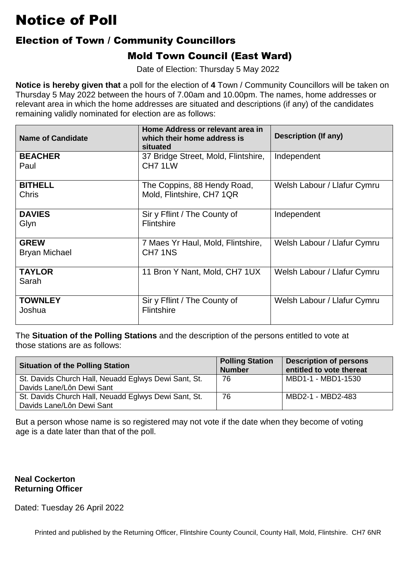### Election of Town / Community Councillors

### Mold Town Council (East Ward)

Date of Election: Thursday 5 May 2022

 **Notice is hereby given that** a poll for the election of **4** Town / Community Councillors will be taken on Thursday 5 May 2022 between the hours of 7.00am and 10.00pm. The names, home addresses or relevant area in which the home addresses are situated and descriptions (if any) of the candidates remaining validly nominated for election are as follows:

| <b>Name of Candidate</b>            | Home Address or relevant area in<br>which their home address is<br>situated | Description (If any)        |
|-------------------------------------|-----------------------------------------------------------------------------|-----------------------------|
| <b>BEACHER</b><br>Paul              | 37 Bridge Street, Mold, Flintshire,<br>CH7 1LW                              | Independent                 |
| <b>BITHELL</b><br><b>Chris</b>      | The Coppins, 88 Hendy Road,<br>Mold, Flintshire, CH7 1QR                    | Welsh Labour / Llafur Cymru |
| <b>DAVIES</b><br>Glyn               | Sir y Fflint / The County of<br><b>Flintshire</b>                           | Independent                 |
| <b>GREW</b><br><b>Bryan Michael</b> | 7 Maes Yr Haul, Mold, Flintshire,<br>CH <sub>7</sub> 1N <sub>S</sub>        | Welsh Labour / Llafur Cymru |
| <b>TAYLOR</b><br>Sarah              | 11 Bron Y Nant, Mold, CH7 1UX                                               | Welsh Labour / Llafur Cymru |
| <b>TOWNLEY</b><br>Joshua            | Sir y Fflint / The County of<br>Flintshire                                  | Welsh Labour / Llafur Cymru |

 The **Situation of the Polling Stations** and the description of the persons entitled to vote at those stations are as follows:

| <b>Situation of the Polling Station</b>                                           | <b>Polling Station</b><br><b>Number</b> | <b>Description of persons</b><br>entitled to vote thereat |
|-----------------------------------------------------------------------------------|-----------------------------------------|-----------------------------------------------------------|
| St. Davids Church Hall, Neuadd Eglwys Dewi Sant, St.<br>Davids Lane/Lôn Dewi Sant | 76                                      | MBD1-1 - MBD1-1530                                        |
| St. Davids Church Hall, Neuadd Eglwys Dewi Sant, St.<br>Davids Lane/Lôn Dewi Sant | 76                                      | MBD2-1 - MBD2-483                                         |

But a person whose name is so registered may not vote if the date when they become of voting<br>age is a date later than that of the poll. age is a date later than that of the poll.

#### **Neal Cockerton Returning Officer**

Dated: Tuesday 26 April 2022